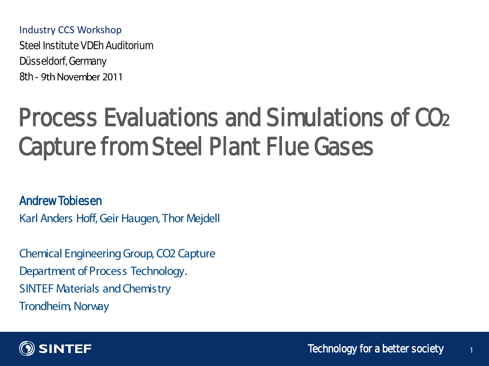Industry CCS Workshop

Steel Institute VDFh Auditorium Düsseldorf, Germany 8th ‐ 9th November 2011

# Process Evaluations and Simulations of CO2 Capture from Steel Plant Flue Gases

Andrew Tobiesen

Karl Anders Hoff, Geir Haugen, Thor Mejdell

Chemical Engineering Group, CO2 Capture Department of Process Technology. SINTEF Materials and Chemistry Trondheim, Norway



1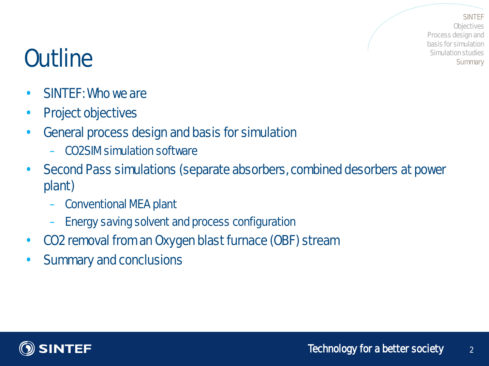**SINTEF C**biectives Process design and basis for simulation Simulation studies **Summary** 

# **Outline**

- SINTEF: Who we are
- Project objectives
- General process design and basis for simulation
	- CO2SIM simulation software
- Second Pass simulations (separate absorbers, combined desorbers at power plant)
	- Conventional MEA plant
	- Energy saving solvent and process configuration
- CO2 removal from an Oxygen blast furnace (OBF) stream
- Summary and conclusions

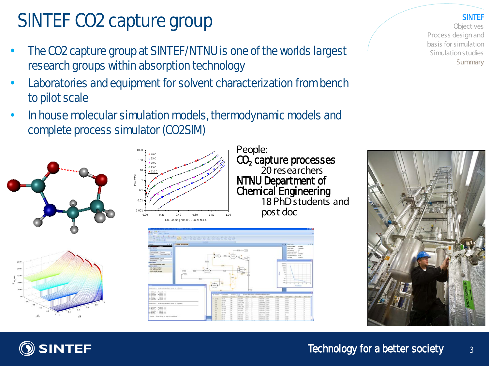# SINTEF CO2 capture group

- The CO2 capture group at SINTEF/NTNU is one of the worlds largest research groups within absorption technology
- Laboratories and equipment for solvent characterization from bench to pilot scale
- In house molecular simulation models, thermodynamic models and complete process simulator (CO2SIM)







People: CO<sub>2</sub> capture processes<br>20 researchers NTNU Department of **Chemical Engineering**<br>18 PhD students and post doc







SINTEF

**Objectives** Process design and basis for simulation Simulation studies Summary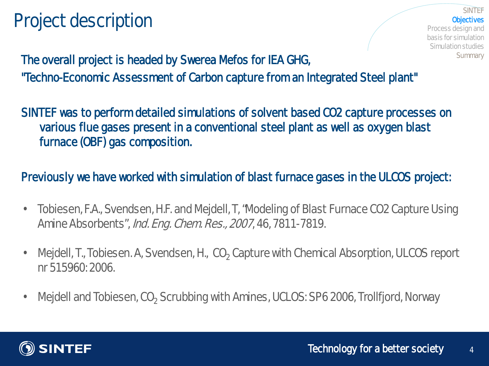#### Project description

#### **SINTEF Chiectives** Process design and basis for simulation Simulation studies **Summary**

The overall project is headed by Swerea Mefos for IEA GHG, "Techno-Economic Assessment of Carbon capture from an Integrated Steel plant"

SINTEF was to perform detailed simulations of solvent based CO2 capture processes on various flue gases present in a conventional steel plant as well as oxygen blast furnace (OBF) gas composition.

#### Previously we have worked with simulation of blast furnace gases in the ULCOS project:

- Tobiesen, F.A., Svendsen, H.F. and Mejdell, T. "Modeling of Blast Furnace CO2 Capture Using Amine Absorbents", *Ind. Eng. Chem. Res., 2007*, 46, 7811-7819.
- Mejdell, T., Tobiesen. A, Svendsen, H., CO, Capture with Chemical Absorption, ULCOS report nr 515960: 2006.
- Mejdell and Tobiesen, CO<sub>2</sub> Scrubbing with Amines, UCLOS: SP6 2006, Trollfjord, Norway

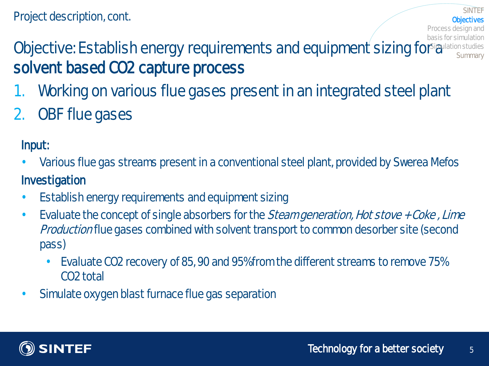#### Objective: Establish energy requirements and equipment sizing for a lation studies solvent based CO2 capture process basis for simulation **Summary**

- 1. Working on various flue gases present in an integrated steel plant
- $2.$ **OBF flue gases**

Input:

- Various flue gas streams present in a conventional steel plant, provided by Swerea Mefos Investigation
- **Establish energy requirements and equipment sizing**
- Evaluate the concept of single absorbers for the *Steam generation, Hot stove + Coke, Lime* Productionflue gases combined with solvent transport to common desorber site (second pass)
	- Evaluate CO2 recovery of 85, 90 and 95% from the different streams to remove 75% CO2 total
- Simulate oxygen blast furnace flue gas separation



**Objectives** 

Process design and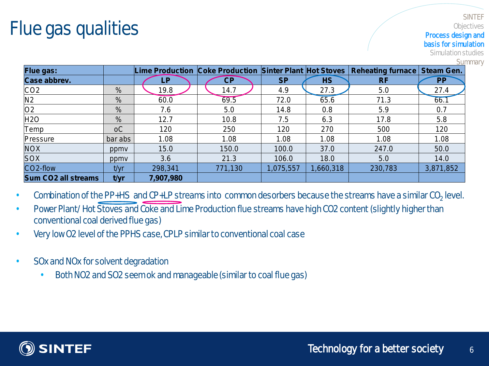#### Flue gas qualities

#### **SINTEF C**biectives Process design and basis for simulation

Simulation studies

**Summary** 

| Flue gas:                  |                |                         |         |           |           | Lime Production Coke Production Sinter Plant Hot Stoves   Reheating furnace   Steam Gen. |           |
|----------------------------|----------------|-------------------------|---------|-----------|-----------|------------------------------------------------------------------------------------------|-----------|
| <b>Case abbrev.</b>        |                | $\overline{\mathbf{P}}$ | CP      | <b>SP</b> | <b>HS</b> | <b>RF</b>                                                                                | <b>PP</b> |
| CO <sub>2</sub>            | %              | 19.8                    | 14.7    | 4.9       | 27.3      | 5.0                                                                                      | 27.4      |
| N <sub>2</sub>             | %              | 60.0                    | 69.5    | 72.0      | 65.6      | 71.3                                                                                     | 66.1      |
| O2                         | %              | 7.6                     | 5.0     | 14.8      | 0.8       | 5.9                                                                                      | 0.7       |
| H2O                        | $\%$           | 12.7                    | 10.8    | 7.5       | 6.3       | 17.8                                                                                     | 5.8       |
| Temp                       | <sub>o</sub> C | 120                     | 250     | 120       | 270       | 500                                                                                      | 120       |
| Pressure                   | bar abs        | 1.08                    | 1.08    | 1.08      | 1.08      | 1.08                                                                                     | 1.08      |
| <b>NOX</b>                 | ppmy           | 15.0                    | 150.0   | 100.0     | 37.0      | 247.0                                                                                    | 50.0      |
| <b>SOX</b>                 | ppmy           | 3.6                     | 21.3    | 106.0     | 18.0      | 5.0                                                                                      | 14.0      |
| CO2-flow                   | t/yr           | 298,341                 | 771,130 | 1,075,557 | 1,660,318 | 230,783                                                                                  | 3,871,852 |
| <b>Sum CO2 all streams</b> | t/yr           | 7,907,980               |         |           |           |                                                                                          |           |

Combination of the PP+HS and CP+LP streams into common desorbers because the streams have a similar CO<sub>2</sub> level.

- Power Plant/ Hot Stoves and Coke and Lime Production flue streams have high CO2 content (slightly higher than conventional coal derived flue gas)
- Very low O2 level of the PPHS case, CPLP similar to conventional coal case
- **SOx and NOx for solvent degradation** 
	- Both NO2 and SO2 seem ok and manageable (similar to coal flue gas)

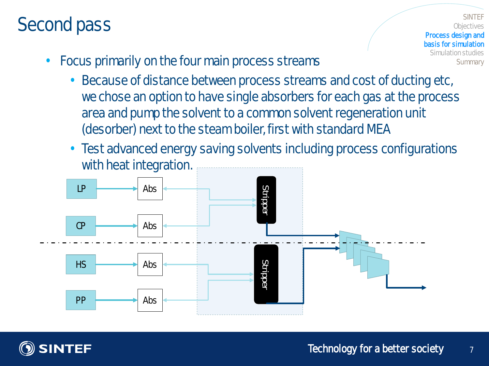#### Second pass

**SINTEF C**biectives Process design and basis for simulation Simulation studies **Summary** 

- Focus primarily on the four main process streams
	- Because of distance between process streams and cost of ducting etc, we chose an option to have single absorbers for each gas at the process area and pump the solvent to a common solvent regeneration unit (desorber) next to the steam boiler, first with standard MEA
	- Test advanced energy saving solvents including process configurations with heat integration.



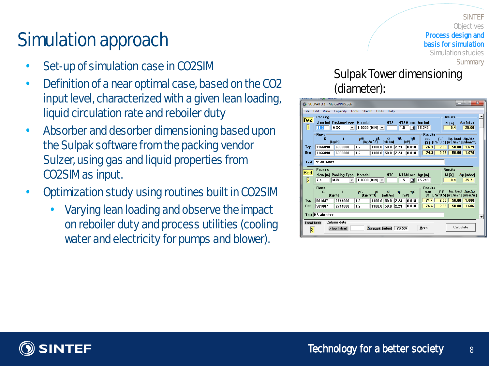## Simulation approach

- Set-up of simulation case in CO2SIM
- Definition of a near optimal case, based on the CO2 input level, characterized with a given lean loading, liquid circulation rate and reboiler duty
- Absorber and desorber dimensioning based upon the Sulpak software from the packing vendor Sulzer, using gas and liquid properties from CO2SIM as input.
- Optimization study using routines built in CO2SIM
	- Varying lean loading and observe the impact on reboiler duty and process utilities (cooling water and electricity for pumps and blower).

#### SulpakTower dimensioning (diameter):

**SINTEF C**biectives

**Summary** 

Process design and basis for simulation Simulation studies

| - 25<br>$\overline{\mathbf{x}}$<br>المزر<br>SULPAK 3.1 - MefosPPHS.pak                                                                                                                                               |                                            |                                                       |                                |                 |                    |      |                        |                |                                        |                                   |  |
|----------------------------------------------------------------------------------------------------------------------------------------------------------------------------------------------------------------------|--------------------------------------------|-------------------------------------------------------|--------------------------------|-----------------|--------------------|------|------------------------|----------------|----------------------------------------|-----------------------------------|--|
| File                                                                                                                                                                                                                 | Edit View Capacity Tools Sketch Units Help |                                                       |                                |                 |                    |      |                        |                |                                        |                                   |  |
| Bed                                                                                                                                                                                                                  | Packing                                    |                                                       |                                |                 |                    |      |                        |                | <b>Results</b>                         |                                   |  |
| h.                                                                                                                                                                                                                   | 11.3                                       | diam [m] Packing-Type Material<br>M2X<br>$\mathbf{v}$ | $ 1.0330 $ (DIN) $\rightarrow$ |                 | <b>NTS</b>         | 1.5  | NTSM exp. hqt [m]<br>圖 | 15.249         | h[2]<br>8.4                            | $\Delta p$ [mbar]<br>25.60        |  |
|                                                                                                                                                                                                                      | <b>Flows</b>                               |                                                       |                                |                 |                    |      |                        | <b>Results</b> |                                        |                                   |  |
|                                                                                                                                                                                                                      | G                                          | L<br>[ko/h]                                           | ρG                             | oL.<br>Tka/m^31 | $\sigma$<br>[mN/m] | ηL   | ηG<br>[cP]             | cap            | F-F.<br>[%] [Pa^0.5] [m3/m2h] [mbar/m] | lig. load $\Delta \nu / \Delta z$ |  |
| Top                                                                                                                                                                                                                  | 1166890                                    | 6398000                                               | 1.2                            | 1100.0 50.0     |                    | 2.23 | 0.018                  | 74.3           | 2.95<br>58.00                          | 1.679                             |  |
| <b>Btm</b>                                                                                                                                                                                                           | 1166890                                    | 6398000                                               | 1.2                            | 1100.0 50.0     |                    | 2.23 | 0.018                  | 74.3           | 2.95<br>58.00                          | 1.679                             |  |
| Text PP absorber                                                                                                                                                                                                     |                                            |                                                       |                                |                 |                    |      |                        |                |                                        |                                   |  |
| Packing<br><b>Results</b><br>Bed                                                                                                                                                                                     |                                            |                                                       |                                |                 |                    |      |                        |                |                                        |                                   |  |
| <b>NTS</b><br>diam [m] Packing-Type<br><b>Material</b><br>NTSM exp. hat [m]<br>h[2]<br>$\Delta p$ [mbar]<br>1.0330 (DIN) $\blacktriangledown$<br>1.5<br>圖<br>15.249<br>74<br>H <sub>2</sub> x<br>84<br>25.71         |                                            |                                                       |                                |                 |                    |      |                        |                |                                        |                                   |  |
| I2                                                                                                                                                                                                                   |                                            |                                                       |                                |                 |                    |      |                        |                |                                        |                                   |  |
| <b>Flows</b><br><b>Results</b><br>liq. load $\Delta_{D}/\Delta_{Z}$<br>F-F<br>cap<br>G<br>ρG<br>$\sigma$<br>$\eta$ L –<br>ηG<br>pL.<br>L<br>$[kq/m^3]$<br>[%] [Pa^0.5] [m3/m2h] [mbar/m]<br>[kg/h]<br>[mN/m]<br>[cP] |                                            |                                                       |                                |                 |                    |      |                        |                |                                        |                                   |  |
| Top                                                                                                                                                                                                                  | 501087                                     | 2744000                                               | 1.2                            | 1100.0 50.0     |                    | 2.23 | 0.018                  | 74.4           | 2.95<br>58.00                          | 1.686                             |  |
| <b>Btm</b>                                                                                                                                                                                                           | 501087                                     | 2744000                                               | 1.2                            | 1100.0 50.0     |                    | 2.23 | 0.018                  | 74.4           | 2.95<br>58.00                          | 1.686                             |  |
| <b>Text HS absorber</b>                                                                                                                                                                                              |                                            |                                                       |                                |                 |                    |      |                        |                |                                        |                                   |  |
| Column data<br><b>Total heds</b><br>Calculate<br>More<br>76.534<br>$\Delta$ p pack, [mbar] $\parallel$<br>p top [mbar]<br>3                                                                                          |                                            |                                                       |                                |                 |                    |      |                        |                |                                        |                                   |  |

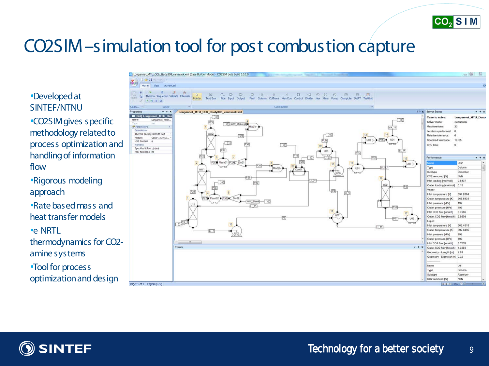

#### CO2SIM –simulation tool for post combustion capture

#### •Developed at SINTEF/NTNU

•CO2SIM gives specific methodology related to process optimization and handling of information flow

•Rigorous modeling approach

•Rate based mass and heat transfer models

•e-NRTL

thermodynamics for CO2 amine systems

•Tool for process optimization and design



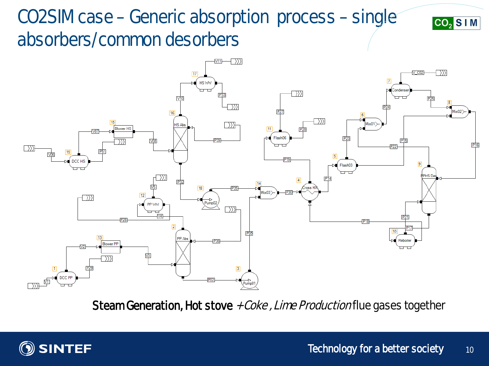# CO2SIM case –Generic absorption process –single absorbers/common desorbers



Steam Generation, Hot stove  $+ Oe$ ke, Lime Production flue gases together



 $CO<sub>2</sub>$  S I M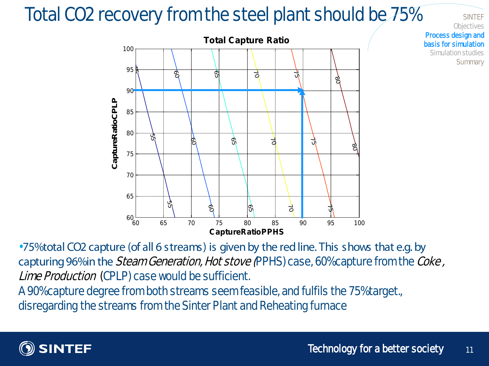### Total CO2 recovery from the steel plant should be 75%



•75% total CO2 capture (of all 6 streams) is given by the red line. This shows that e.g. by capturing 96% in the Steam Generation, Hot stove (PPHS) case, 60% capture from the Coke, Lime Production (CPLP) case would be sufficient.

A 90% capture degree from both streams seem feasible, and fulfils the 75% target., disregarding the streams from the Sinter Plant and Reheating furnace



**SINTEF C**biectives

**Summary** 

Process design and basis for simulation Simulation studies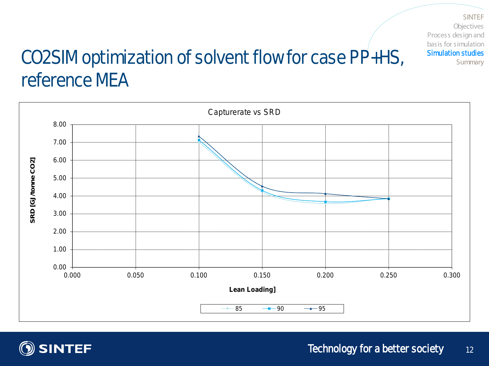SINTEF **Objectives** Process design and basis for simulation Simulation studies Summary

# CO2SIM optimization of solvent flow for case PP+HS, reference MEA



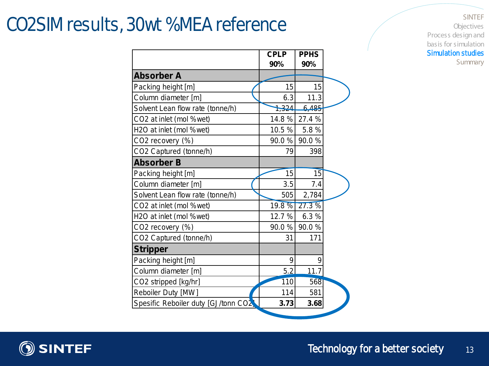#### CO2SIM results, 30wt % MEA reference

SINTEF Objectives Process design and basis for simulation Simulation studies Summary

|                                      | <b>CPLP</b><br>90% | <b>PPHS</b><br>90% |  |
|--------------------------------------|--------------------|--------------------|--|
| <b>Absorber A</b>                    |                    |                    |  |
| Packing height [m]                   | 15                 | 15                 |  |
| Column diameter [m]                  | 6.3                | 11.3               |  |
| Solvent Lean flow rate (tonne/h)     | 1,324              | 6,485              |  |
| CO2 at inlet (mol %wet)              | 14.8%              | 27.4 %             |  |
| H2O at inlet (mol %wet)              | 10.5%              | 5.8%               |  |
| CO2 recovery (%)                     | 90.0%              | 90.0%              |  |
| CO2 Captured (tonne/h)               | 79                 | 398                |  |
| <b>Absorber B</b>                    |                    |                    |  |
| Packing height [m]                   | 15                 | 15                 |  |
| Column diameter [m]                  | 3.5                | 7.4                |  |
| Solvent Lean flow rate (tonne/h)     | 505                | 2,784              |  |
| CO2 at inlet (mol %wet)              | 19.8 %             | 27.3%              |  |
| H <sub>2</sub> O at inlet (mol %wet) | 12.7%              | 6.3%               |  |
| CO2 recovery (%)                     | 90.0%              | 90.0%              |  |
| CO2 Captured (tonne/h)               | 31                 | 171                |  |
| <b>Stripper</b>                      |                    |                    |  |
| Packing height [m]                   | 9                  | 9                  |  |
| Column diameter [m]                  | 5.2                | 11.7               |  |
| CO2 stripped [kg/hr]                 | 110                | 568                |  |
| Reboiler Duty [MW]                   | 114                | 581                |  |
| Spesific Reboiler duty [GJ/tonn CO2  | 3.73               | 3.68               |  |

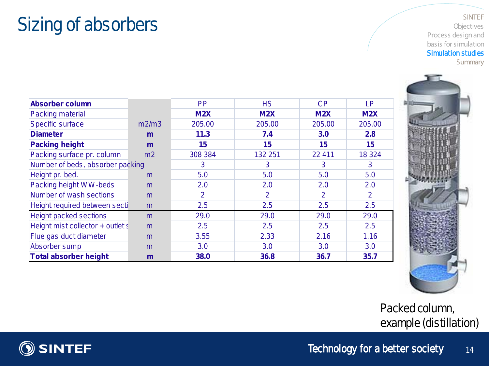#### Sizing of absorbers

#### SINTEF Objectives Process design and basis for simulation Simulation studies Summary

| Absorber column                  |                | <b>PP</b> | <b>HS</b> | СP     | LP.     |
|----------------------------------|----------------|-----------|-----------|--------|---------|
| Packing material                 |                | M2X       | M2X       | M2X    | M2X     |
| Specific surface                 | m2/m3          | 205.00    | 205.00    | 205.00 | 205.00  |
| <b>Diameter</b>                  | m              | 11.3      | 7.4       | 3.0    | 2.8     |
| <b>Packing height</b>            | m              | 15        | 15        | 15     | 15      |
| Packing surface pr. column       | m <sub>2</sub> | 308 384   | 132 251   | 22 411 | 18 3 24 |
| Number of beds, absorber packing |                | 3         | 3         | 3      | 3       |
| Height pr. bed.                  | m              | 5.0       | 5.0       | 5.0    | 5.0     |
| Packing height WW-beds           | m              | 2.0       | 2.0       | 2.0    | 2.0     |
| Number of wash sections          | m              | 2         | 2         | 2      | 2       |
| Height required between secti    | m              | 2.5       | 2.5       | 2.5    | 2.5     |
| <b>Height packed sections</b>    | m              | 29.0      | 29.0      | 29.0   | 29.0    |
| Height mist collector + outlet s | m              | 2.5       | 2.5       | 2.5    | 2.5     |
| Flue gas duct diameter           | m              | 3.55      | 2.33      | 2.16   | 1.16    |
| Absorber sump                    | m              | 3.0       | 3.0       | 3.0    | 3.0     |
| <b>Total absorber height</b>     | m              | 38.0      | 36.8      | 36.7   | 35.7    |



Packed column, example (distillation)

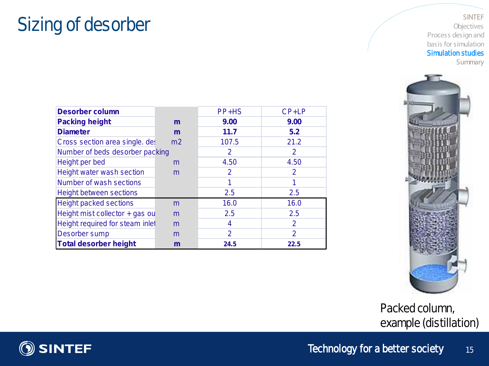#### Sizing of desorber

#### SINTEF Objectives Process design and basis for simulation Simulation studies Summary

| <b>Desorber column</b>          |                | PP+HS | CP+LP          |
|---------------------------------|----------------|-------|----------------|
| <b>Packing height</b>           | m              | 9.00  | 9.00           |
| <b>Diameter</b>                 | m              | 11.7  | 5.2            |
| Cross section area single. det  | m <sub>2</sub> | 107.5 | 21.2           |
| Number of beds desorber packing |                | 2     | 2              |
| Height per bed                  | m              | 4.50  | 4.50           |
| Height water wash section       | m              | 2     | 2              |
| <b>Number of wash sections</b>  |                |       | 1              |
| <b>Height between sections</b>  |                | 2.5   | 2.5            |
| <b>Height packed sections</b>   | m              | 16.0  | 16.0           |
| Height mist collector + gas ou  | m              | 2.5   | 2.5            |
| Height required for steam inlet | m              | 4     | $\overline{2}$ |
| Desorber sump                   | m              | 2     | 2              |
| <b>Total desorber height</b>    | m              | 24.5  | 22.5           |
|                                 |                |       |                |



Packed column, example(distillation)

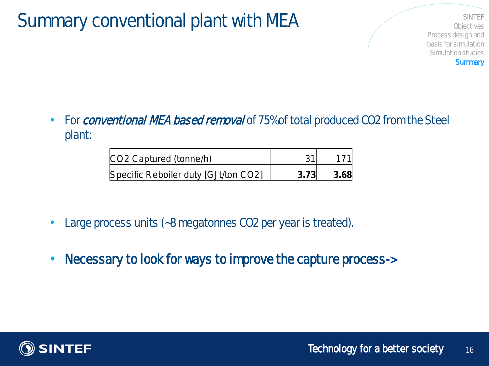#### Summary conventional plant with MEA SINTEF SUMMARY CONVENTIONAL PLANT REPORTED SINTEF

**C**bjectives Process design and basis for simulation Simulation studies **Summary** 

• For *conventional NEA based removal* of 75% of total produced CO2 from the Steel plant:

| CO2 Captured (tonne/h)               |      |      |
|--------------------------------------|------|------|
| Specific Reboiler duty [GJt/ton CO2] | 3.73 | 3.68 |

- Large process units (~8 megatonnes CO2 per year is treated).
- Necessary to look for ways to improve the capture process->

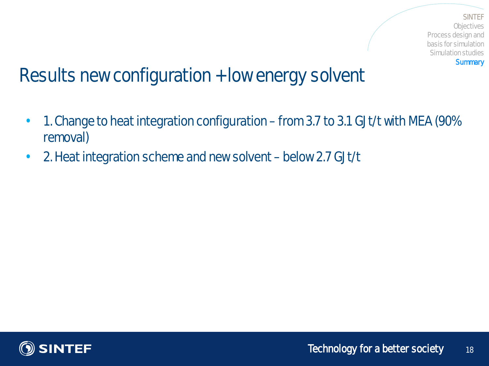**SINTEF Cbjectives** Process design and basis for simulation Simulation studies **Summary** 

### Results new configuration + low energy solvent

- 1. Change to heat integration configuration from 3.7 to 3.1 GJt/t with MEA (90% removal)
- 2. Heat integration scheme and new solvent below 2.7 GJt/t

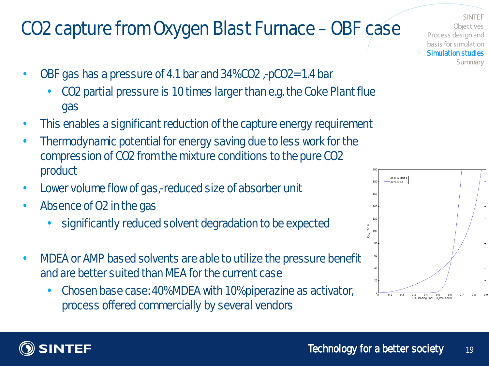# CO2 capture from Oxygen Blast Furnace –OBF case

- OBF gas has a pressure of 4.1 bar and 34% CO2 ,-pCO2= 1.4 bar
	- CO2 partial pressure is 10 times larger than e.g. the Coke Plant flue gas
- This enables a significant reduction of the capture energy requirement
- Thermodynamic potential for energy saving due to less work for the compression of CO2 from the mixture conditions to the pure CO2 product
- Lower volume flow of gas,-reduced size of absorber unit
- Absence of Q2 in the gas
	- significantly reduced solvent degradation to be expected
- MDEA or AMP based solvents are able to utilize the pressure benefit and are better suited than MEA for the current case
	- Chosen base case: 40% MDEA with 10% piperazine as activator, process offered commercially by several vendors

**SINTEF Objectives** Process design and basis for simulation Simulation studies **Summary** 



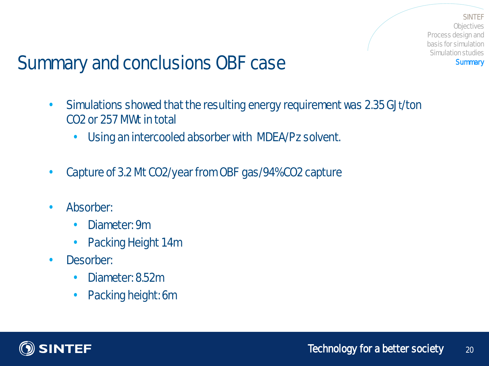**SINTEF Cbjectives** Process design and basis for simulation Simulation studies **Summary** 

### Summary and conclusions OBF case

- Simulations showed that the resulting energy requirement was 2.35 GJt/ton CO2 or 257 MWt in total
	- Using an intercooled absorber with MDEA/Pz solvent.
- Capture of 3.2 Mt CO2/year from CBF gas/94% CO2 capture
- Absorber:
	- Diameter: 9m
	- Packing Height 14m
- Desorber:
	- Diameter: 8.52m
	- Packing height: 6m

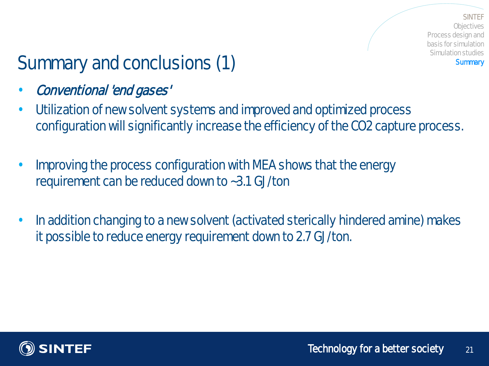**SINTFF C**biectives Process design and basis for simulation Simulation studies **Summary** 

# Summary and conclusions (1)

- Conventional 'end gases'
- Utilization of new solvent systems and improved and optimized process configuration will significantly increase the efficiency of the CO2 capture process.
- Improving the process configuration with MEA shows that the energy requirement can be reduced down to ~3.1 GJ/ton
- In addition changing to a new solvent (activated sterically hindered amine) makes it possible to reduce energy requirement down to 2.7 GJ/ton.